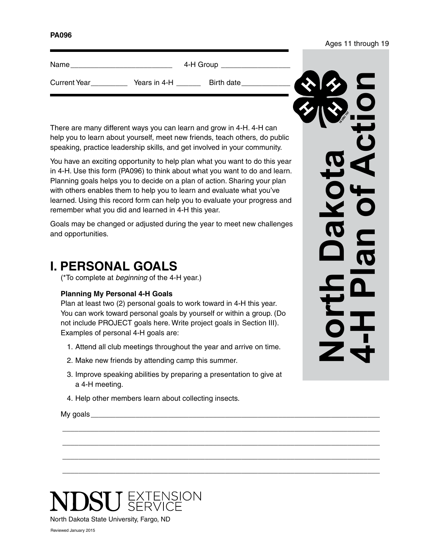#### **PA096**

| Name                |              | 4-H Group  |                                         |
|---------------------|--------------|------------|-----------------------------------------|
| <b>Current Year</b> | Years in 4-H | Birth date | $\boldsymbol{\mathcal{L}}$<br><b>KY</b> |

There are many different ways you can learn and grow in 4-H. 4-H can help you to learn about yourself, meet new friends, teach others, do public speaking, practice leadership skills, and get involved in your community.

You have an exciting opportunity to help plan what you want to do this year in 4-H. Use this form (PA096) to think about what you want to do and learn. Planning goals helps you to decide on a plan of action. Sharing your plan with others enables them to help you to learn and evaluate what you've learned. Using this record form can help you to evaluate your progress and remember what you did and learned in 4-H this year.

Goals may be changed or adjusted during the year to meet new challenges and opportunities.

### **I. PERSONAL GOALS**

(\*To complete at *beginning* of the 4-H year.)

#### **Planning My Personal 4-H Goals**

Plan at least two (2) personal goals to work toward in 4-H this year. You can work toward personal goals by yourself or within a group. (Do not include PROJECT goals here. Write project goals in Section III). Examples of personal 4-H goals are:

- 1. Attend all club meetings throughout the year and arrive on time.
- 2. Make new friends by attending camp this summer.
- 3. Improve speaking abilities by preparing a presentation to give at a 4-H meeting.

 $\_$  ,  $\_$  ,  $\_$  ,  $\_$  ,  $\_$  ,  $\_$  ,  $\_$  ,  $\_$  ,  $\_$  ,  $\_$  ,  $\_$  ,  $\_$  ,  $\_$  ,  $\_$  ,  $\_$  ,  $\_$  ,  $\_$  ,  $\_$  ,  $\_$  ,  $\_$  ,  $\_$  ,  $\_$  ,  $\_$  ,  $\_$  ,  $\_$  ,  $\_$  ,  $\_$  ,  $\_$  ,  $\_$  ,  $\_$  ,  $\_$  ,  $\_$  ,  $\_$  ,  $\_$  ,  $\_$  ,  $\_$  ,  $\_$  ,

 $\_$  ,  $\_$  ,  $\_$  ,  $\_$  ,  $\_$  ,  $\_$  ,  $\_$  ,  $\_$  ,  $\_$  ,  $\_$  ,  $\_$  ,  $\_$  ,  $\_$  ,  $\_$  ,  $\_$  ,  $\_$  ,  $\_$  ,  $\_$  ,  $\_$  ,  $\_$  ,  $\_$  ,  $\_$  ,  $\_$  ,  $\_$  ,  $\_$  ,  $\_$  ,  $\_$  ,  $\_$  ,  $\_$  ,  $\_$  ,  $\_$  ,  $\_$  ,  $\_$  ,  $\_$  ,  $\_$  ,  $\_$  ,  $\_$  ,

 $\_$  ,  $\_$  ,  $\_$  ,  $\_$  ,  $\_$  ,  $\_$  ,  $\_$  ,  $\_$  ,  $\_$  ,  $\_$  ,  $\_$  ,  $\_$  ,  $\_$  ,  $\_$  ,  $\_$  ,  $\_$  ,  $\_$  ,  $\_$  ,  $\_$  ,  $\_$  ,  $\_$  ,  $\_$  ,  $\_$  ,  $\_$  ,  $\_$  ,  $\_$  ,  $\_$  ,  $\_$  ,  $\_$  ,  $\_$  ,  $\_$  ,  $\_$  ,  $\_$  ,  $\_$  ,  $\_$  ,  $\_$  ,  $\_$  ,

 $\_$  ,  $\_$  ,  $\_$  ,  $\_$  ,  $\_$  ,  $\_$  ,  $\_$  ,  $\_$  ,  $\_$  ,  $\_$  ,  $\_$  ,  $\_$  ,  $\_$  ,  $\_$  ,  $\_$  ,  $\_$  ,  $\_$  ,  $\_$  ,  $\_$  ,  $\_$  ,  $\_$  ,  $\_$  ,  $\_$  ,  $\_$  ,  $\_$  ,  $\_$  ,  $\_$  ,  $\_$  ,  $\_$  ,  $\_$  ,  $\_$  ,  $\_$  ,  $\_$  ,  $\_$  ,  $\_$  ,  $\_$  ,  $\_$  ,

4. Help other members learn about collecting insects.

My goals  $\frac{1}{2}$  and  $\frac{1}{2}$  and  $\frac{1}{2}$  and  $\frac{1}{2}$  and  $\frac{1}{2}$  and  $\frac{1}{2}$  and  $\frac{1}{2}$  and  $\frac{1}{2}$  and  $\frac{1}{2}$  and  $\frac{1}{2}$  and  $\frac{1}{2}$  and  $\frac{1}{2}$  and  $\frac{1}{2}$  and  $\frac{1}{2}$  and  $\frac{1}{2}$  and  $\$ 

**North Dakota 4-H Plan of Action**

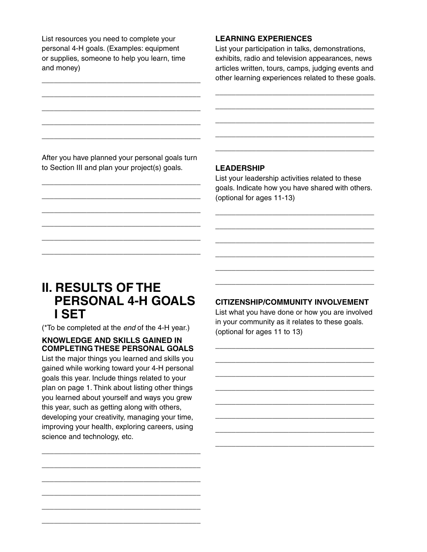List resources you need to complete your personal 4-H goals. (Examples: equipment or supplies, someone to help you learn, time and money)

\_\_\_\_\_\_\_\_\_\_\_\_\_\_\_\_\_\_\_\_\_\_\_\_\_\_\_\_\_\_\_\_\_\_\_\_\_\_\_

\_\_\_\_\_\_\_\_\_\_\_\_\_\_\_\_\_\_\_\_\_\_\_\_\_\_\_\_\_\_\_\_\_\_\_\_\_\_\_

\_\_\_\_\_\_\_\_\_\_\_\_\_\_\_\_\_\_\_\_\_\_\_\_\_\_\_\_\_\_\_\_\_\_\_\_\_\_\_

\_\_\_\_\_\_\_\_\_\_\_\_\_\_\_\_\_\_\_\_\_\_\_\_\_\_\_\_\_\_\_\_\_\_\_\_\_\_\_

\_\_\_\_\_\_\_\_\_\_\_\_\_\_\_\_\_\_\_\_\_\_\_\_\_\_\_\_\_\_\_\_\_\_\_\_\_\_\_

#### **LEARNING EXPERIENCES**

List your participation in talks, demonstrations, exhibits, radio and television appearances, news articles written, tours, camps, judging events and other learning experiences related to these goals.

\_\_\_\_\_\_\_\_\_\_\_\_\_\_\_\_\_\_\_\_\_\_\_\_\_\_\_\_\_\_\_\_\_\_\_\_\_\_\_

\_\_\_\_\_\_\_\_\_\_\_\_\_\_\_\_\_\_\_\_\_\_\_\_\_\_\_\_\_\_\_\_\_\_\_\_\_\_\_

\_\_\_\_\_\_\_\_\_\_\_\_\_\_\_\_\_\_\_\_\_\_\_\_\_\_\_\_\_\_\_\_\_\_\_\_\_\_\_

\_\_\_\_\_\_\_\_\_\_\_\_\_\_\_\_\_\_\_\_\_\_\_\_\_\_\_\_\_\_\_\_\_\_\_\_\_\_\_

\_\_\_\_\_\_\_\_\_\_\_\_\_\_\_\_\_\_\_\_\_\_\_\_\_\_\_\_\_\_\_\_\_\_\_\_\_\_\_

After you have planned your personal goals turn to Section III and plan your project(s) goals.

\_\_\_\_\_\_\_\_\_\_\_\_\_\_\_\_\_\_\_\_\_\_\_\_\_\_\_\_\_\_\_\_\_\_\_\_\_\_\_

\_\_\_\_\_\_\_\_\_\_\_\_\_\_\_\_\_\_\_\_\_\_\_\_\_\_\_\_\_\_\_\_\_\_\_\_\_\_\_

\_\_\_\_\_\_\_\_\_\_\_\_\_\_\_\_\_\_\_\_\_\_\_\_\_\_\_\_\_\_\_\_\_\_\_\_\_\_\_

\_\_\_\_\_\_\_\_\_\_\_\_\_\_\_\_\_\_\_\_\_\_\_\_\_\_\_\_\_\_\_\_\_\_\_\_\_\_\_

\_\_\_\_\_\_\_\_\_\_\_\_\_\_\_\_\_\_\_\_\_\_\_\_\_\_\_\_\_\_\_\_\_\_\_\_\_\_\_

\_\_\_\_\_\_\_\_\_\_\_\_\_\_\_\_\_\_\_\_\_\_\_\_\_\_\_\_\_\_\_\_\_\_\_\_\_\_\_

#### **LEADERSHIP**

List your leadership activities related to these goals. Indicate how you have shared with others. (optional for ages 11-13)

\_\_\_\_\_\_\_\_\_\_\_\_\_\_\_\_\_\_\_\_\_\_\_\_\_\_\_\_\_\_\_\_\_\_\_\_\_\_\_

\_\_\_\_\_\_\_\_\_\_\_\_\_\_\_\_\_\_\_\_\_\_\_\_\_\_\_\_\_\_\_\_\_\_\_\_\_\_\_

\_\_\_\_\_\_\_\_\_\_\_\_\_\_\_\_\_\_\_\_\_\_\_\_\_\_\_\_\_\_\_\_\_\_\_\_\_\_\_

\_\_\_\_\_\_\_\_\_\_\_\_\_\_\_\_\_\_\_\_\_\_\_\_\_\_\_\_\_\_\_\_\_\_\_\_\_\_\_

\_\_\_\_\_\_\_\_\_\_\_\_\_\_\_\_\_\_\_\_\_\_\_\_\_\_\_\_\_\_\_\_\_\_\_\_\_\_\_

\_\_\_\_\_\_\_\_\_\_\_\_\_\_\_\_\_\_\_\_\_\_\_\_\_\_\_\_\_\_\_\_\_\_\_\_\_\_\_

## **II. RESULTS OF THE PERSONAL 4-H GOALS I SET**

(\*To be completed at the *end* of the 4-H year.)

#### **KNOWLEDGE AND SKILLS GAINED IN COMPLETING THESE PERSONAL GOALS**

List the major things you learned and skills you gained while working toward your 4-H personal goals this year. Include things related to your plan on page 1. Think about listing other things you learned about yourself and ways you grew this year, such as getting along with others, developing your creativity, managing your time, improving your health, exploring careers, using science and technology, etc.

\_\_\_\_\_\_\_\_\_\_\_\_\_\_\_\_\_\_\_\_\_\_\_\_\_\_\_\_\_\_\_\_\_\_\_\_\_\_\_

\_\_\_\_\_\_\_\_\_\_\_\_\_\_\_\_\_\_\_\_\_\_\_\_\_\_\_\_\_\_\_\_\_\_\_\_\_\_\_

\_\_\_\_\_\_\_\_\_\_\_\_\_\_\_\_\_\_\_\_\_\_\_\_\_\_\_\_\_\_\_\_\_\_\_\_\_\_\_

\_\_\_\_\_\_\_\_\_\_\_\_\_\_\_\_\_\_\_\_\_\_\_\_\_\_\_\_\_\_\_\_\_\_\_\_\_\_\_

\_\_\_\_\_\_\_\_\_\_\_\_\_\_\_\_\_\_\_\_\_\_\_\_\_\_\_\_\_\_\_\_\_\_\_\_\_\_\_

\_\_\_\_\_\_\_\_\_\_\_\_\_\_\_\_\_\_\_\_\_\_\_\_\_\_\_\_\_\_\_\_\_\_\_\_\_\_\_

#### **CITIZENSHIP/COMMUNITY INVOLVEMENT**

List what you have done or how you are involved in your community as it relates to these goals. (optional for ages 11 to 13)

\_\_\_\_\_\_\_\_\_\_\_\_\_\_\_\_\_\_\_\_\_\_\_\_\_\_\_\_\_\_\_\_\_\_\_\_\_\_\_

\_\_\_\_\_\_\_\_\_\_\_\_\_\_\_\_\_\_\_\_\_\_\_\_\_\_\_\_\_\_\_\_\_\_\_\_\_\_\_

\_\_\_\_\_\_\_\_\_\_\_\_\_\_\_\_\_\_\_\_\_\_\_\_\_\_\_\_\_\_\_\_\_\_\_\_\_\_\_

\_\_\_\_\_\_\_\_\_\_\_\_\_\_\_\_\_\_\_\_\_\_\_\_\_\_\_\_\_\_\_\_\_\_\_\_\_\_\_

\_\_\_\_\_\_\_\_\_\_\_\_\_\_\_\_\_\_\_\_\_\_\_\_\_\_\_\_\_\_\_\_\_\_\_\_\_\_\_

\_\_\_\_\_\_\_\_\_\_\_\_\_\_\_\_\_\_\_\_\_\_\_\_\_\_\_\_\_\_\_\_\_\_\_\_\_\_\_

\_\_\_\_\_\_\_\_\_\_\_\_\_\_\_\_\_\_\_\_\_\_\_\_\_\_\_\_\_\_\_\_\_\_\_\_\_\_\_

\_\_\_\_\_\_\_\_\_\_\_\_\_\_\_\_\_\_\_\_\_\_\_\_\_\_\_\_\_\_\_\_\_\_\_\_\_\_\_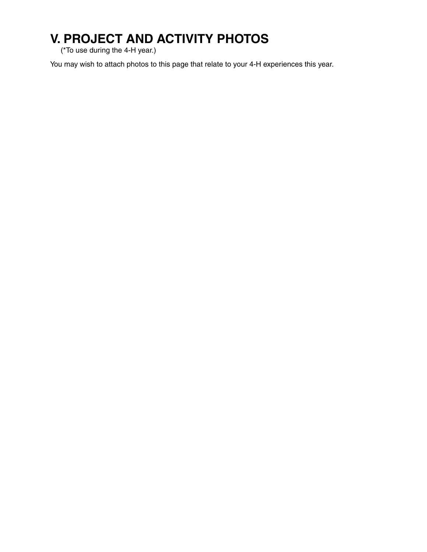# **V. PROJECT AND ACTIVITY PHOTOS**

(\*To use during the 4-H year.)

You may wish to attach photos to this page that relate to your 4-H experiences this year.